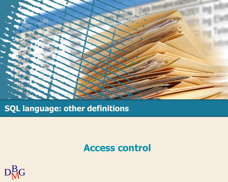

### **SQL language: other definitions**

### **Access control**

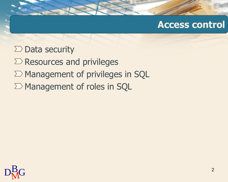### **Access control**

#### $\Sigma$  Data security

- $\Sigma$  Resources and privileges
- $\Sigma$  Management of privileges in SQL
- $\Sigma$  Management of roles in SQL

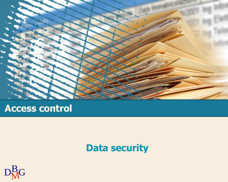

## **Access control**

## **Data security**

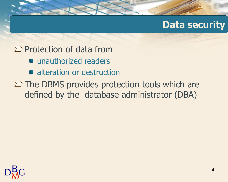## **Data security**

### $\sum$  Protection of data from

- $\bullet$  unauthorized readers
- alteration or destruction
- $\Sigma$  The DBMS provides protection tools which are defined by the database administrator (DBA)

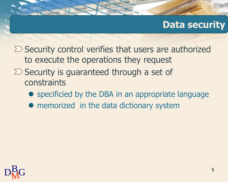## **Data security**

- $\Sigma$  Security control verifies that users are authorized to execute the operations they request
- $\Sigma$  Security is guaranteed through a set of constraints
	- specificied by the DBA in an appropriate language
	- memorized in the data dictionary system

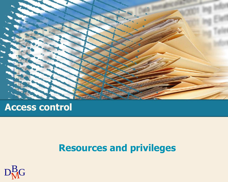

### **Access control**

## **Resources and privileges**

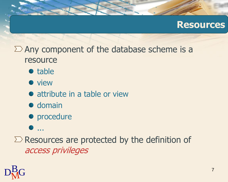### **Resources**

### $\sum$  Any component of the database scheme is a resource

- table
- **•** view
- attribute in a table or view
- $\bullet$  domain
- procedure
- ...

 $\Sigma$  Resources are protected by the definition of access privileges

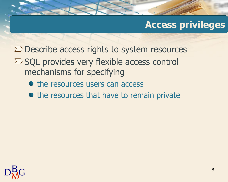## **Access privileges**

- $\Sigma$  Describe access rights to system resources
- $\Sigma$  SQL provides very flexible access control mechanisms for specifying
	- the resources users can access
	- the resources that have to remain private

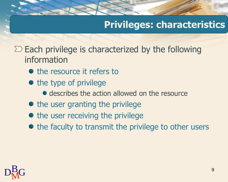## **Privileges: characteristics**

 $\Sigma$  Each privilege is characterized by the following information

- the resource it refers to
- the type of privilege
	- **describes the action allowed on the resource**
- $\bullet$  the user granting the privilege
- the user receiving the privilege
- the faculty to transmit the privilege to other users

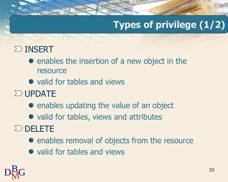# **Types of privilege (1/2)**

## $\sum$  INSERT

- enables the insertion of a new object in the resource
- valid for tables and views
- $\Sigma$  UPDATE
	- enables updating the value of an object
	- valid for tables, views and attributes
- $\Sigma$  DELETE
	- enables removal of objects from the resource
	- valid for tables and views

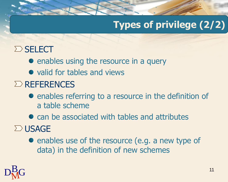# **Types of privilege (2/2)**

## $\Sigma$ SELECT

- enables using the resource in a query
- valid for tables and views

## $\Sigma$  REFERENCES

- enables referring to a resource in the definition of a table scheme
- can be associated with tables and attributes

## $\Sigma$  USAGE

• enables use of the resource (e.g. a new type of data) in the definition of new schemes

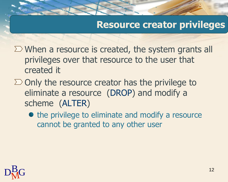## **Resource creator privileges**

- $\Sigma$  When a resource is created, the system grants all privileges over that resource to the user that created it
- $\Sigma$  Only the resource creator has the privilege to eliminate a resource (DROP) and modify a scheme (ALTER)
	- the privilege to eliminate and modify a resource cannot be granted to any other user

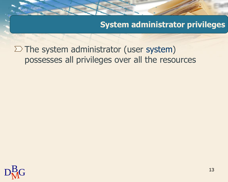**System administrator privileges** 

 $\Sigma$  The system administrator (user system) possesses all privileges over all the resources

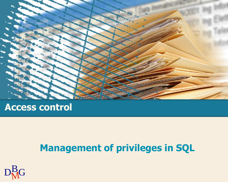

### **Access control**

## **Management of privileges in SQL**

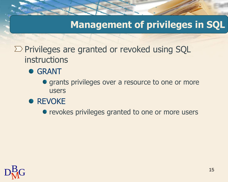## **Management of privileges in SQL**

 $\Sigma$  Privileges are granted or revoked using SQL instructions

#### **• GRANT**

- **•** grants privileges over a resource to one or more users
- **REVOKE**

• revokes privileges granted to one or more users

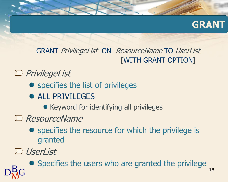

GRANT PrivilegeList ON ResourceName TO UserList [WITH GRANT OPTION]

 $\sum$  PrivilegeList

- specifies the list of privileges
- **ALL PRIVILEGES**

• Keyword for identifying all privileges

- $\sum$  ResourceName
	- **•** specifies the resource for which the privilege is granted

UserList

 $D_{\rm M}^{\rm B}$ G 16 Specifies the users who are granted the privilege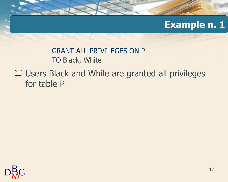## **Example n. 1**

GRANT ALL PRIVILEGES ON P TO Black, White

 $\Sigma$  Users Black and While are granted all privileges for table P

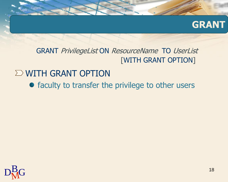

GRANT PrivilegeList ON ResourceName TO UserList [WITH GRANT OPTION]

### $\Sigma$  WITH GRANT OPTION

• faculty to transfer the privilege to other users

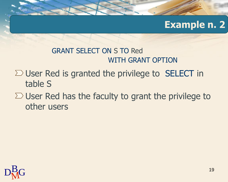## **Example n. 2**

#### GRANT SELECT ON S TO Red WITH GRANT OPTION

- $\Sigma$  User Red is granted the privilege to SELECT in table S
- $\Sigma$  User Red has the faculty to grant the privilege to other users

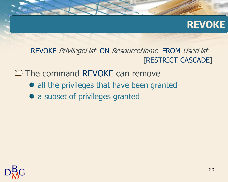### **REVOKE**

REVOKE PrivilegeList ON ResourceName FROM UserList [RESTRICT|CASCADE]

 $\Sigma$  The command REVOKE can remove

- all the privileges that have been granted
- a subset of privileges granted

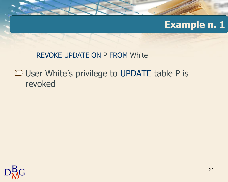## **Example n. 1**

#### REVOKE UPDATE ON P FROM White

## $\Sigma$  User White's privilege to UPDATE table P is revoked

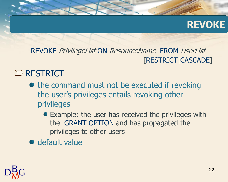## **REVOKE**

#### REVOKE PrivilegeList ON ResourceName FROM UserList [RESTRICT|CASCADE]

### $\Sigma$  RESTRICT

- $\bullet$  the command must not be executed if revoking the user's privileges entails revoking other privileges
	- Example: the user has received the privileges with the GRANT OPTION and has propagated the privileges to other users
- $\bullet$  default value

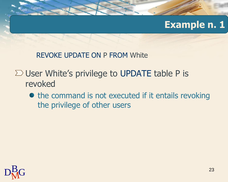## **Example n. 1**

REVOKE UPDATE ON P FROM White

## $\Sigma$  User White's privilege to UPDATE table P is revoked

• the command is not executed if it entails revoking the privilege of other users

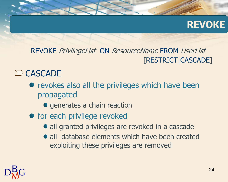## **REVOKE**

#### REVOKE PrivilegeList ON ResourceName FROM UserList [RESTRICT|CASCADE]

### $\sum$  CASCADE

- revokes also all the privileges which have been propagated
	- **•** generates a chain reaction
- for each privilege revoked
	- all granted privileges are revoked in a cascade
	- all database elements which have been created exploiting these privileges are removed

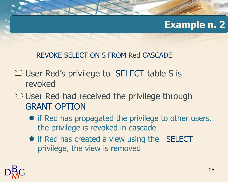## **Example n. 2**

#### REVOKE SELECT ON S FROM Red CASCADE

- $\Sigma$  User Red's privilege to SELECT table S is revoked
- $\Sigma$  User Red had received the privilege through GRANT OPTION
	- if Red has propagated the privilege to other users, the privilege is revoked in cascade
	- if Red has created a view using the SELECT privilege, the view is removed

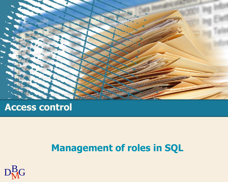

### **Access control**

## **Management of roles in SQL**

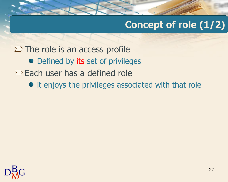# **Concept of role (1/2)**

 $\Sigma$  The role is an access profile • Defined by its set of privileges  $\Sigma$  Each user has a defined role • it enjoys the privileges associated with that role

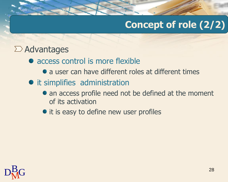# **Concept of role (2/2)**

### $\Sigma$  Advantages

- access control is more flexible
	- a user can have different roles at different times
- it simplifies administration
	- an access profile need not be defined at the moment of its activation
	- it is easy to define new user profiles